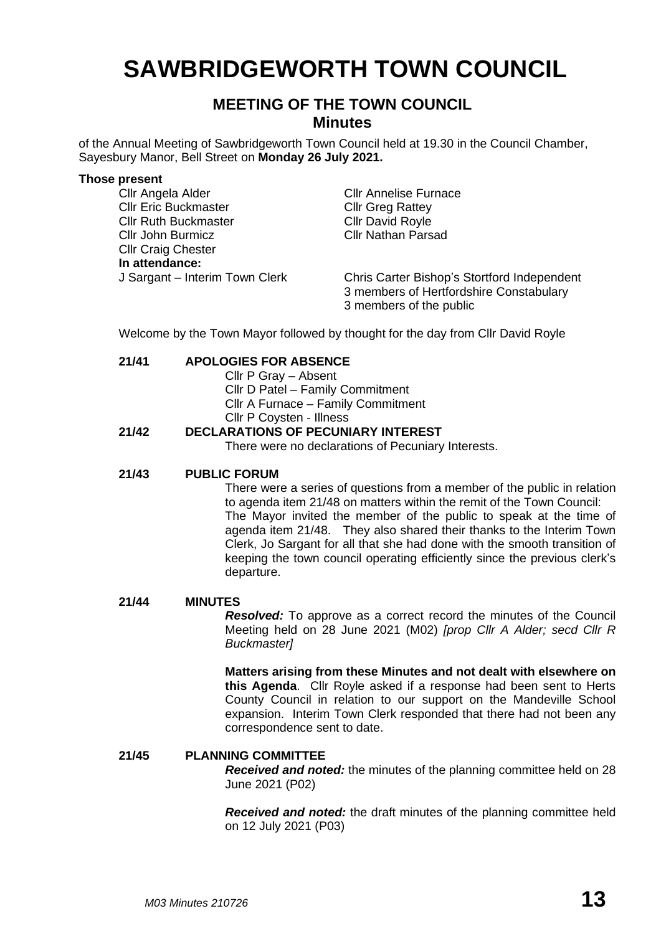# **SAWBRIDGEWORTH TOWN COUNCIL**

# **MEETING OF THE TOWN COUNCIL Minutes**

of the Annual Meeting of Sawbridgeworth Town Council held at 19.30 in the Council Chamber, Sayesbury Manor, Bell Street on **Monday 26 July 2021.**

#### **Those present**

Cllr Angela Alder Cllr Annelise Furnace Cllr Eric Buckmaster Cllr Greg Rattey Cllr Ruth Buckmaster Cllr David Royle Cllr John Burmicz Cllr Nathan Parsad Cllr Craig Chester **In attendance:** J Sargant – Interim Town Clerk Chris Carter Bishop's Stortford Independent 3 members of Hertfordshire Constabulary 3 members of the public

Welcome by the Town Mayor followed by thought for the day from Cllr David Royle

## **21/41 APOLOGIES FOR ABSENCE**

- Cllr P Gray Absent
- Cllr D Patel Family Commitment

Cllr A Furnace – Family Commitment

Cllr P Coysten - Illness

# **21/42 DECLARATIONS OF PECUNIARY INTEREST**

There were no declarations of Pecuniary Interests.

# **21/43 PUBLIC FORUM**

There were a series of questions from a member of the public in relation to agenda item 21/48 on matters within the remit of the Town Council: The Mayor invited the member of the public to speak at the time of agenda item 21/48. They also shared their thanks to the Interim Town Clerk, Jo Sargant for all that she had done with the smooth transition of keeping the town council operating efficiently since the previous clerk's departure.

#### **21/44 MINUTES**

*Resolved:* To approve as a correct record the minutes of the Council Meeting held on 28 June 2021 (M02) *[prop Cllr A Alder; secd Cllr R Buckmaster]*

**Matters arising from these Minutes and not dealt with elsewhere on this Agenda**. Cllr Royle asked if a response had been sent to Herts County Council in relation to our support on the Mandeville School expansion. Interim Town Clerk responded that there had not been any correspondence sent to date.

# **21/45 PLANNING COMMITTEE**

*Received and noted:* the minutes of the planning committee held on 28 June 2021 (P02)

*Received and noted:* the draft minutes of the planning committee held on 12 July 2021 (P03)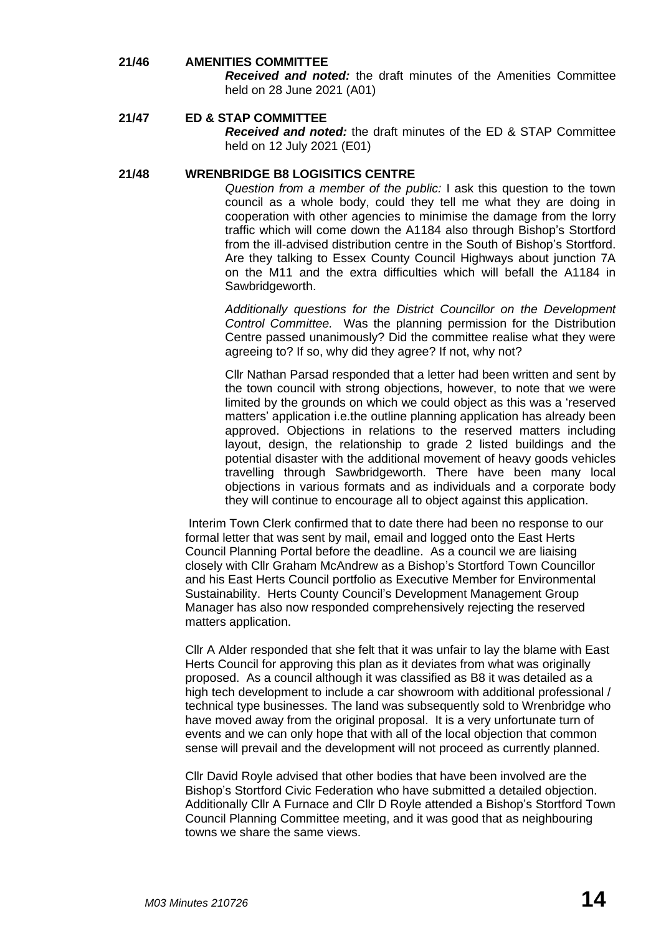# **21/46 AMENITIES COMMITTEE**

*Received and noted:* the draft minutes of the Amenities Committee held on 28 June 2021 (A01)

# **21/47 ED & STAP COMMITTEE**

*Received and noted:* the draft minutes of the ED & STAP Committee held on 12 July 2021 (E01)

#### **21/48 WRENBRIDGE B8 LOGISITICS CENTRE**

*Question from a member of the public:* I ask this question to the town council as a whole body, could they tell me what they are doing in cooperation with other agencies to minimise the damage from the lorry traffic which will come down the A1184 also through Bishop's Stortford from the ill-advised distribution centre in the South of Bishop's Stortford. Are they talking to Essex County Council Highways about junction 7A on the M11 and the extra difficulties which will befall the A1184 in Sawbridgeworth.

*Additionally questions for the District Councillor on the Development Control Committee.* Was the planning permission for the Distribution Centre passed unanimously? Did the committee realise what they were agreeing to? If so, why did they agree? If not, why not?

Cllr Nathan Parsad responded that a letter had been written and sent by the town council with strong objections, however, to note that we were limited by the grounds on which we could object as this was a 'reserved matters' application i.e.the outline planning application has already been approved. Objections in relations to the reserved matters including layout, design, the relationship to grade 2 listed buildings and the potential disaster with the additional movement of heavy goods vehicles travelling through Sawbridgeworth. There have been many local objections in various formats and as individuals and a corporate body they will continue to encourage all to object against this application.

Interim Town Clerk confirmed that to date there had been no response to our formal letter that was sent by mail, email and logged onto the East Herts Council Planning Portal before the deadline. As a council we are liaising closely with Cllr Graham McAndrew as a Bishop's Stortford Town Councillor and his East Herts Council portfolio as Executive Member for Environmental Sustainability. Herts County Council's Development Management Group Manager has also now responded comprehensively rejecting the reserved matters application.

Cllr A Alder responded that she felt that it was unfair to lay the blame with East Herts Council for approving this plan as it deviates from what was originally proposed. As a council although it was classified as B8 it was detailed as a high tech development to include a car showroom with additional professional / technical type businesses. The land was subsequently sold to Wrenbridge who have moved away from the original proposal. It is a very unfortunate turn of events and we can only hope that with all of the local objection that common sense will prevail and the development will not proceed as currently planned.

Cllr David Royle advised that other bodies that have been involved are the Bishop's Stortford Civic Federation who have submitted a detailed objection. Additionally Cllr A Furnace and Cllr D Royle attended a Bishop's Stortford Town Council Planning Committee meeting, and it was good that as neighbouring towns we share the same views.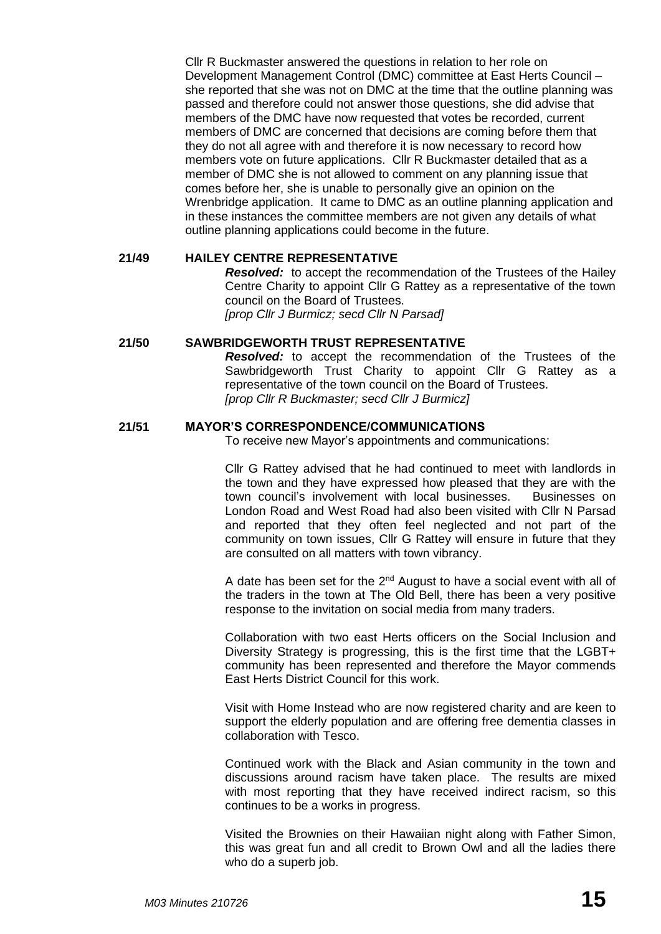Cllr R Buckmaster answered the questions in relation to her role on Development Management Control (DMC) committee at East Herts Council – she reported that she was not on DMC at the time that the outline planning was passed and therefore could not answer those questions, she did advise that members of the DMC have now requested that votes be recorded, current members of DMC are concerned that decisions are coming before them that they do not all agree with and therefore it is now necessary to record how members vote on future applications. Cllr R Buckmaster detailed that as a member of DMC she is not allowed to comment on any planning issue that comes before her, she is unable to personally give an opinion on the Wrenbridge application. It came to DMC as an outline planning application and in these instances the committee members are not given any details of what outline planning applications could become in the future.

## **21/49 HAILEY CENTRE REPRESENTATIVE**

*Resolved:* to accept the recommendation of the Trustees of the Hailey Centre Charity to appoint Cllr G Rattey as a representative of the town council on the Board of Trustees. *[prop Cllr J Burmicz; secd Cllr N Parsad]*

## **21/50 SAWBRIDGEWORTH TRUST REPRESENTATIVE**

*Resolved:* to accept the recommendation of the Trustees of the Sawbridgeworth Trust Charity to appoint Cllr G Rattey as a representative of the town council on the Board of Trustees. *[prop Cllr R Buckmaster; secd Cllr J Burmicz]*

## **21/51 MAYOR'S CORRESPONDENCE/COMMUNICATIONS**

To receive new Mayor's appointments and communications:

Cllr G Rattey advised that he had continued to meet with landlords in the town and they have expressed how pleased that they are with the town council's involvement with local businesses. Businesses on London Road and West Road had also been visited with Cllr N Parsad and reported that they often feel neglected and not part of the community on town issues, Cllr G Rattey will ensure in future that they are consulted on all matters with town vibrancy.

A date has been set for the  $2<sup>nd</sup>$  August to have a social event with all of the traders in the town at The Old Bell, there has been a very positive response to the invitation on social media from many traders.

Collaboration with two east Herts officers on the Social Inclusion and Diversity Strategy is progressing, this is the first time that the LGBT+ community has been represented and therefore the Mayor commends East Herts District Council for this work.

Visit with Home Instead who are now registered charity and are keen to support the elderly population and are offering free dementia classes in collaboration with Tesco.

Continued work with the Black and Asian community in the town and discussions around racism have taken place. The results are mixed with most reporting that they have received indirect racism, so this continues to be a works in progress.

Visited the Brownies on their Hawaiian night along with Father Simon, this was great fun and all credit to Brown Owl and all the ladies there who do a superb job.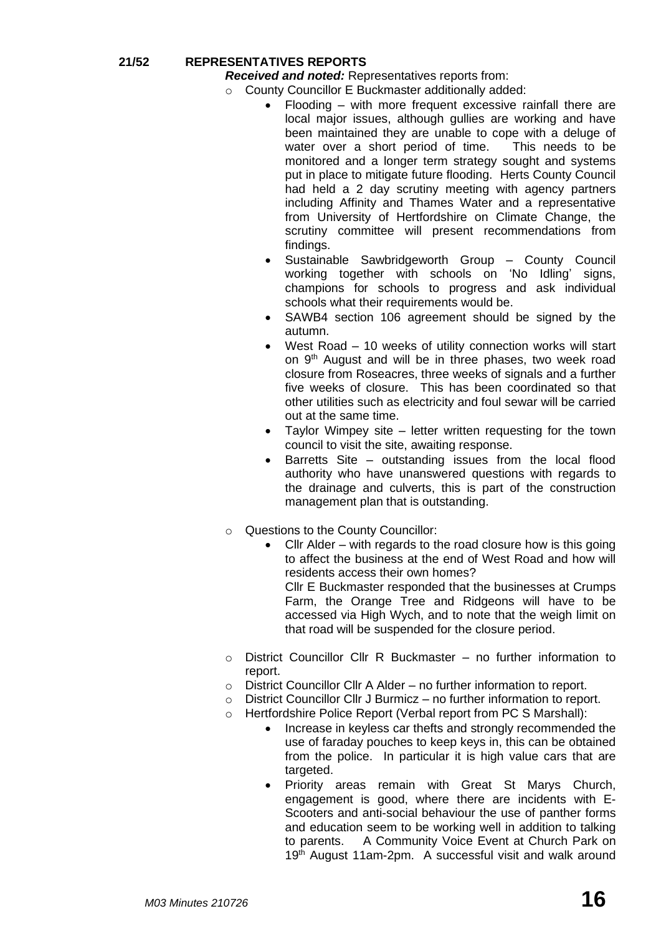# **21/52 REPRESENTATIVES REPORTS**

*Received and noted:* Representatives reports from:

- o County Councillor E Buckmaster additionally added:
	- Flooding with more frequent excessive rainfall there are local major issues, although gullies are working and have been maintained they are unable to cope with a deluge of water over a short period of time. This needs to be monitored and a longer term strategy sought and systems put in place to mitigate future flooding. Herts County Council had held a 2 day scrutiny meeting with agency partners including Affinity and Thames Water and a representative from University of Hertfordshire on Climate Change, the scrutiny committee will present recommendations from findings.
	- Sustainable Sawbridgeworth Group County Council working together with schools on 'No Idling' signs, champions for schools to progress and ask individual schools what their requirements would be.
	- SAWB4 section 106 agreement should be signed by the autumn.
	- West Road 10 weeks of utility connection works will start on 9<sup>th</sup> August and will be in three phases, two week road closure from Roseacres, three weeks of signals and a further five weeks of closure. This has been coordinated so that other utilities such as electricity and foul sewar will be carried out at the same time.
	- Taylor Wimpey site  $-$  letter written requesting for the town council to visit the site, awaiting response.
	- Barretts Site outstanding issues from the local flood authority who have unanswered questions with regards to the drainage and culverts, this is part of the construction management plan that is outstanding.
- o Questions to the County Councillor:
	- Cllr Alder with regards to the road closure how is this going to affect the business at the end of West Road and how will residents access their own homes? Cllr E Buckmaster responded that the businesses at Crumps Farm, the Orange Tree and Ridgeons will have to be accessed via High Wych, and to note that the weigh limit on that road will be suspended for the closure period.
- $\circ$  District Councillor Cllr R Buckmaster no further information to report.
- o District Councillor Cllr A Alder no further information to report.
- o District Councillor Cllr J Burmicz no further information to report.
- o Hertfordshire Police Report (Verbal report from PC S Marshall):
	- Increase in keyless car thefts and strongly recommended the use of faraday pouches to keep keys in, this can be obtained from the police. In particular it is high value cars that are targeted.
	- Priority areas remain with Great St Marys Church, engagement is good, where there are incidents with E-Scooters and anti-social behaviour the use of panther forms and education seem to be working well in addition to talking to parents. A Community Voice Event at Church Park on 19<sup>th</sup> August 11am-2pm. A successful visit and walk around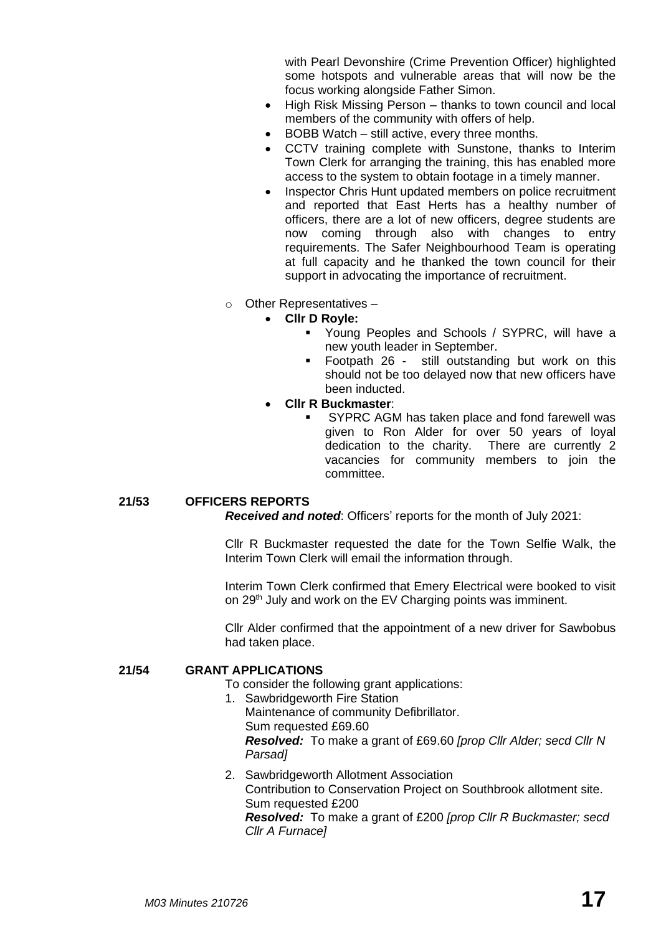with Pearl Devonshire (Crime Prevention Officer) highlighted some hotspots and vulnerable areas that will now be the focus working alongside Father Simon.

- High Risk Missing Person thanks to town council and local members of the community with offers of help.
- BOBB Watch still active, every three months.
- CCTV training complete with Sunstone, thanks to Interim Town Clerk for arranging the training, this has enabled more access to the system to obtain footage in a timely manner.
- Inspector Chris Hunt updated members on police recruitment and reported that East Herts has a healthy number of officers, there are a lot of new officers, degree students are now coming through also with changes to entry requirements. The Safer Neighbourhood Team is operating at full capacity and he thanked the town council for their support in advocating the importance of recruitment.
- o Other Representatives
	- **Cllr D Royle:**
		- Young Peoples and Schools / SYPRC, will have a new youth leader in September.
		- Footpath 26 still outstanding but work on this should not be too delayed now that new officers have been inducted.
		- **Cllr R Buckmaster**:
			- SYPRC AGM has taken place and fond farewell was given to Ron Alder for over 50 years of loyal dedication to the charity. There are currently 2 vacancies for community members to join the committee.

# **21/53 OFFICERS REPORTS**

*Received and noted*: Officers' reports for the month of July 2021:

Cllr R Buckmaster requested the date for the Town Selfie Walk, the Interim Town Clerk will email the information through.

Interim Town Clerk confirmed that Emery Electrical were booked to visit on 29<sup>th</sup> July and work on the EV Charging points was imminent.

Cllr Alder confirmed that the appointment of a new driver for Sawbobus had taken place.

#### **21/54 GRANT APPLICATIONS**

To consider the following grant applications:

- 1. Sawbridgeworth Fire Station Maintenance of community Defibrillator. Sum requested £69.60 *Resolved:* To make a grant of £69.60 *[prop Cllr Alder; secd Cllr N Parsad]*
- 2. Sawbridgeworth Allotment Association Contribution to Conservation Project on Southbrook allotment site. Sum requested £200 *Resolved:* To make a grant of £200 *[prop Cllr R Buckmaster; secd Cllr A Furnace]*